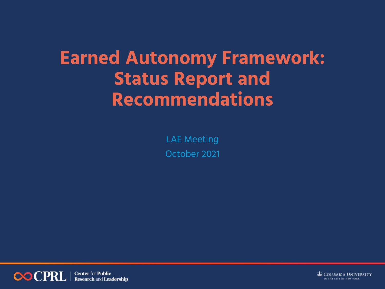# **Earned Autonomy Framework: Status Report and Recommendations**

LAE Meeting October 2021

**COCPRI Center for Public Research and Leadership**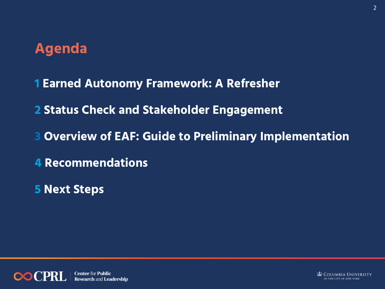## **Agenda**

**1 Earned Autonomy Framework: A Refresher**

**2 Status Check and Stakeholder Engagement**

- **3 Overview of EAF: Guide to Preliminary Implementation**
- **4 Recommendations**
- **5 Next Steps**

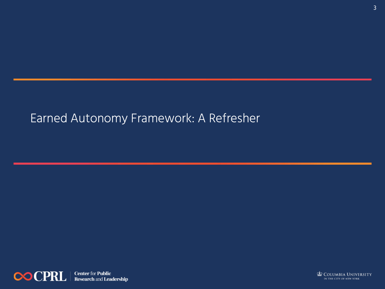### Earned Autonomy Framework: A Refresher



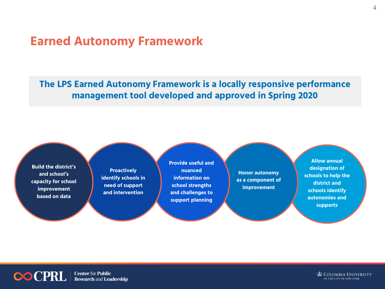### **Earned Autonomy Framework**

**The LPS Earned Autonomy Framework is a locally responsive performance management tool developed and approved in Spring 2020** 



**Center for Public COCPRL Research and Leadership**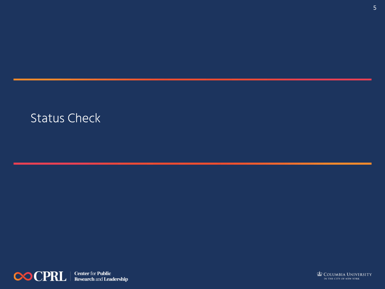### Status Check



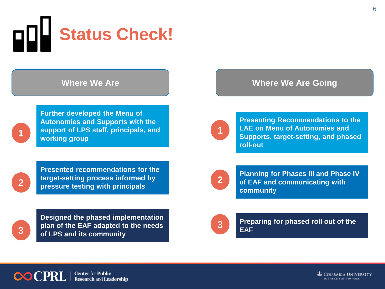

**1**

**Further developed the Menu of Autonomies and Supports with the support of LPS staff, principals, and working group**

### **Where We Are Where We Are Going**



**Presenting Recommendations to the LAE on Menu of Autonomies and Supports, target-setting, and phased roll-out**

**Presented recommendations for the target-setting process informed by pressure testing with principals** 



**Designed the phased implementation plan of the EAF adapted to the needs of LPS and its community**



**Planning for Phases III and Phase IV of EAF and communicating with community**



**Preparing for phased roll out of the EAF**

**3**

**Center for Public Research and Leadership**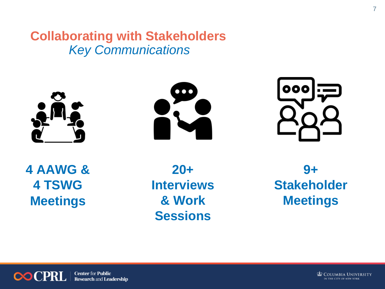**Collaborating with Stakeholders**  *Key Communications*







**4 AAWG & 4 TSWG Meetings**

**20+ Interviews & Work Sessions**

**9+ Stakeholder Meetings**



**Center for Public** 00 CPRI **Research and Leadership**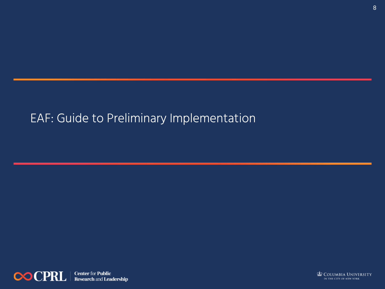### EAF: Guide to Preliminary Implementation



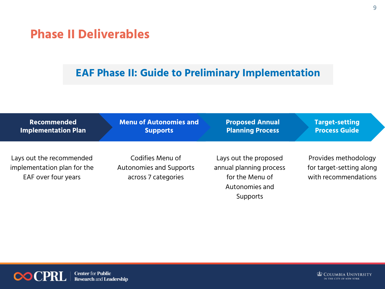### **Phase II Deliverables**

### **EAF Phase II: Guide to Preliminary Implementation**

| <b>Recommended</b>                                                             | <b>Menu of Autonomies and</b>                                             | <b>Proposed Annual</b>                                                                                   | <b>Target-setting</b>                                                    |
|--------------------------------------------------------------------------------|---------------------------------------------------------------------------|----------------------------------------------------------------------------------------------------------|--------------------------------------------------------------------------|
| <b>Implementation Plan</b>                                                     | <b>Supports</b>                                                           | <b>Planning Process</b>                                                                                  | <b>Process Guide</b>                                                     |
| Lays out the recommended<br>implementation plan for the<br>EAF over four years | Codifies Menu of<br><b>Autonomies and Supports</b><br>across 7 categories | Lays out the proposed<br>annual planning process<br>for the Menu of<br>Autonomies and<br><b>Supports</b> | Provides methodology<br>for target-setting along<br>with recommendations |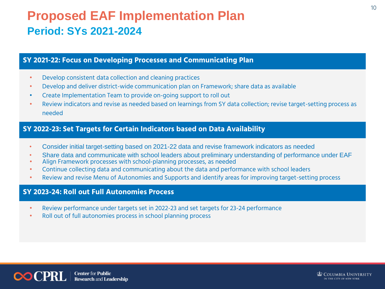### **Proposed EAF Implementation Plan Period: SYs 2021-2024**

#### **SY 2021-22: Focus on Developing Processes and Communicating Plan**

- Develop consistent data collection and cleaning practices
- Develop and deliver district-wide communication plan on Framework; share data as available
- Create Implementation Team to provide on-going support to roll out
- Review indicators and revise as needed based on learnings from SY data collection; revise target-setting process as needed

#### **SY 2022-23: Set Targets for Certain Indicators based on Data Availability**

- Consider initial target-setting based on 2021-22 data and revise framework indicators as needed
- Share data and communicate with school leaders about preliminary understanding of performance under EAF
- Align Framework processes with school-planning processes, as needed
- Continue collecting data and communicating about the data and performance with school leaders
- Review and revise Menu of Autonomies and Supports and identify areas for improving target-setting process

#### **SY 2023-24: Roll out Full Autonomies Process**

- Review performance under targets set in 2022-23 and set targets for 23-24 performance
- Roll out of full autonomies process in school planning process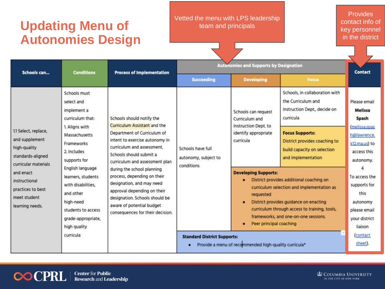### **Updating Menu of Autonomies Design**

#### Vetted the menu with LPS leadership team and principals

Provides contact info of key personnel in the district

| Schools can                                                                                                                                                                              | <b>Conditions</b>                                                                                                                                                    | <b>Process of Implementation</b>                                                                                                                                                                                         | <b>Autonomies and Supports by Designation</b>                                                                                                                                                                                                                                                              |                                                                                                    |                                                                                                              | <b>Contact</b>                                                                                                |
|------------------------------------------------------------------------------------------------------------------------------------------------------------------------------------------|----------------------------------------------------------------------------------------------------------------------------------------------------------------------|--------------------------------------------------------------------------------------------------------------------------------------------------------------------------------------------------------------------------|------------------------------------------------------------------------------------------------------------------------------------------------------------------------------------------------------------------------------------------------------------------------------------------------------------|----------------------------------------------------------------------------------------------------|--------------------------------------------------------------------------------------------------------------|---------------------------------------------------------------------------------------------------------------|
|                                                                                                                                                                                          |                                                                                                                                                                      |                                                                                                                                                                                                                          | <b>Succeeding</b>                                                                                                                                                                                                                                                                                          | <b>Developing</b>                                                                                  | <b>Focus</b>                                                                                                 |                                                                                                               |
| 11 Select, replace,<br>and supplement<br>high-quality<br>standards-aligned<br>curricular materials<br>and enact<br>instructional<br>practices to best<br>meet student<br>learning needs. | Schools must<br>select and<br>implement a<br>curriculum that:                                                                                                        | Schools should notify the<br>Curriculum Assistant and the                                                                                                                                                                | Schools have full<br>autonomy, subject to<br>conditions                                                                                                                                                                                                                                                    | Schools can request<br>Curriculum and<br>Instruction Dept. to<br>identify appropriate<br>curricula | Schools, in collaboration with<br>the Curriculum and<br>Instruction Dept., decide on<br>curricula            | Please email<br>Melissa<br>Spash<br>(melissa.spas<br>h@lawrence.<br>k12 ma.us) to<br>access this<br>autonomy. |
|                                                                                                                                                                                          | 1. Aligns with<br>Department of Curriculum of<br>Massachusetts<br>Frameworks<br>curriculum and assessment.<br>2. Includes<br>Schools should submit a<br>supports for | intent to exercise autonomy in<br>curriculum and assessment plan                                                                                                                                                         |                                                                                                                                                                                                                                                                                                            |                                                                                                    | <b>Focus Supports:</b><br>District provides coaching to<br>build capacity on selection<br>and implementation |                                                                                                               |
|                                                                                                                                                                                          | English language<br>learners, students<br>with disabilities.<br>and other<br>high-need<br>students to access<br>grade-appropriate,<br>high quality                   | during the school planning<br>process, depending on their<br>designation, and may need<br>approval depending on their<br>designation. Schools should be<br>aware of potential budget<br>consequences for their decision. | <b>Developing Supports:</b><br>District provides additional coaching on<br>curriculum selection and implementation as<br>requested<br>District provides guidance on enacting<br>٠<br>curriculum through access to training, tools,<br>frameworks, and one-on-one sessions.<br>Peer principal coaching<br>٠ |                                                                                                    |                                                                                                              | To access the<br>supports for<br>this<br>autonomy<br>please email<br>your district<br>liaison                 |
|                                                                                                                                                                                          | curricula                                                                                                                                                            |                                                                                                                                                                                                                          | <b>Standard District Supports:</b><br>Provide a menu of recommended high-quality curricula*                                                                                                                                                                                                                |                                                                                                    |                                                                                                              | (contact<br>sheet).                                                                                           |



**Research and Leadership**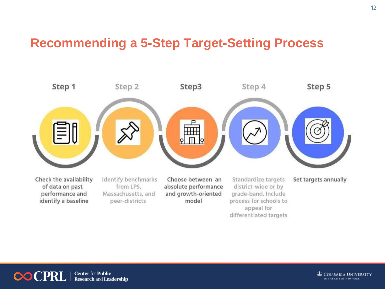### **Recommending a 5-Step Target-Setting Process**

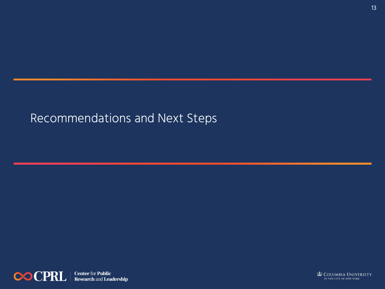### Recommendations and Next Steps



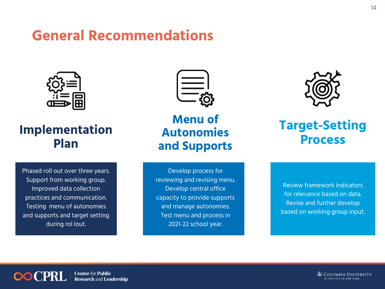### **General Recommendations**



### **Implementation Plan**

Phased roll out over three years. Support from working group. Improved data collection practices and communication. Testing menu of autonomies and supports and target setting during rol lout.



**Menu of Autonomies and Supports**

Develop process for reviewing and revising menu. Develop central office capacity to provide supports and manage autonomies. Test menu and process in 2021-22 school year.



### **Target-Setting Process**

Review framework indicators for relevance based on data. Revise and further develop based on working group input.

**Center for Public COCPRI Research and Leadership**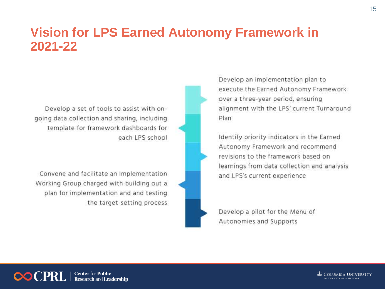### **Vision for LPS Earned Autonomy Framework in 2021-22**

Develop a set of tools to assist with ongoing data collection and sharing, including template for framework dashboards for each LPS school

Convene and facilitate an Implementation Working Group charged with building out a plan for implementation and and testing the target-setting process



Develop an implementation plan to execute the Earned Autonomy Framework over a three-year period, ensuring alignment with the LPS' current Turnaround Plan

Identify priority indicators in the Earned Autonomy Framework and recommend revisions to the framework based on learnings from data collection and analysis and LPS's current experience

Develop a pilot for the Menu of Autonomies and Supports

**Center for Public Research and Leadership**